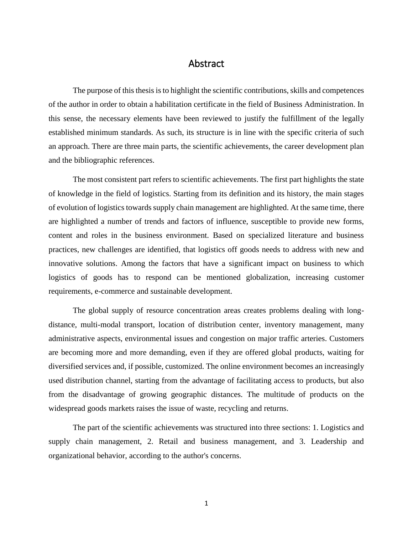## Abstract

The purpose of this thesis is to highlight the scientific contributions, skills and competences of the author in order to obtain a habilitation certificate in the field of Business Administration. In this sense, the necessary elements have been reviewed to justify the fulfillment of the legally established minimum standards. As such, its structure is in line with the specific criteria of such an approach. There are three main parts, the scientific achievements, the career development plan and the bibliographic references.

The most consistent part refers to scientific achievements. The first part highlights the state of knowledge in the field of logistics. Starting from its definition and its history, the main stages of evolution of logistics towards supply chain management are highlighted. At the same time, there are highlighted a number of trends and factors of influence, susceptible to provide new forms, content and roles in the business environment. Based on specialized literature and business practices, new challenges are identified, that logistics off goods needs to address with new and innovative solutions. Among the factors that have a significant impact on business to which logistics of goods has to respond can be mentioned globalization, increasing customer requirements, e-commerce and sustainable development.

The global supply of resource concentration areas creates problems dealing with longdistance, multi-modal transport, location of distribution center, inventory management, many administrative aspects, environmental issues and congestion on major traffic arteries. Customers are becoming more and more demanding, even if they are offered global products, waiting for diversified services and, if possible, customized. The online environment becomes an increasingly used distribution channel, starting from the advantage of facilitating access to products, but also from the disadvantage of growing geographic distances. The multitude of products on the widespread goods markets raises the issue of waste, recycling and returns.

The part of the scientific achievements was structured into three sections: 1. Logistics and supply chain management, 2. Retail and business management, and 3. Leadership and organizational behavior, according to the author's concerns.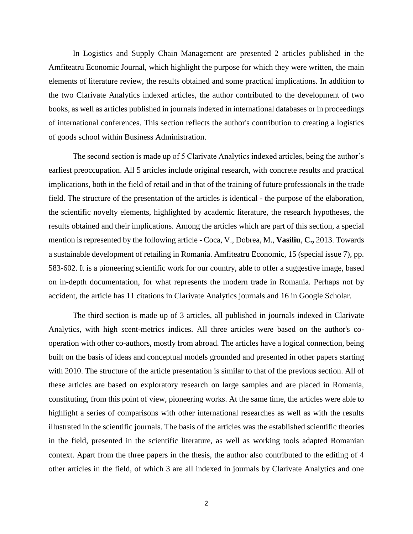In Logistics and Supply Chain Management are presented 2 articles published in the Amfiteatru Economic Journal, which highlight the purpose for which they were written, the main elements of literature review, the results obtained and some practical implications. In addition to the two Clarivate Analytics indexed articles, the author contributed to the development of two books, as well as articles published in journals indexed in international databases or in proceedings of international conferences. This section reflects the author's contribution to creating a logistics of goods school within Business Administration.

The second section is made up of 5 Clarivate Analytics indexed articles, being the author's earliest preoccupation. All 5 articles include original research, with concrete results and practical implications, both in the field of retail and in that of the training of future professionals in the trade field. The structure of the presentation of the articles is identical - the purpose of the elaboration, the scientific novelty elements, highlighted by academic literature, the research hypotheses, the results obtained and their implications. Among the articles which are part of this section, a special mention is represented by the following article - Coca, V., Dobrea, M., **Vasiliu**, **C.,** 2013. Towards a sustainable development of retailing in Romania. Amfiteatru Economic, 15 (special issue 7), pp. 583-602. It is a pioneering scientific work for our country, able to offer a suggestive image, based on in-depth documentation, for what represents the modern trade in Romania. Perhaps not by accident, the article has 11 citations in Clarivate Analytics journals and 16 in Google Scholar.

The third section is made up of 3 articles, all published in journals indexed in Clarivate Analytics, with high scent-metrics indices. All three articles were based on the author's cooperation with other co-authors, mostly from abroad. The articles have a logical connection, being built on the basis of ideas and conceptual models grounded and presented in other papers starting with 2010. The structure of the article presentation is similar to that of the previous section. All of these articles are based on exploratory research on large samples and are placed in Romania, constituting, from this point of view, pioneering works. At the same time, the articles were able to highlight a series of comparisons with other international researches as well as with the results illustrated in the scientific journals. The basis of the articles was the established scientific theories in the field, presented in the scientific literature, as well as working tools adapted Romanian context. Apart from the three papers in the thesis, the author also contributed to the editing of 4 other articles in the field, of which 3 are all indexed in journals by Clarivate Analytics and one